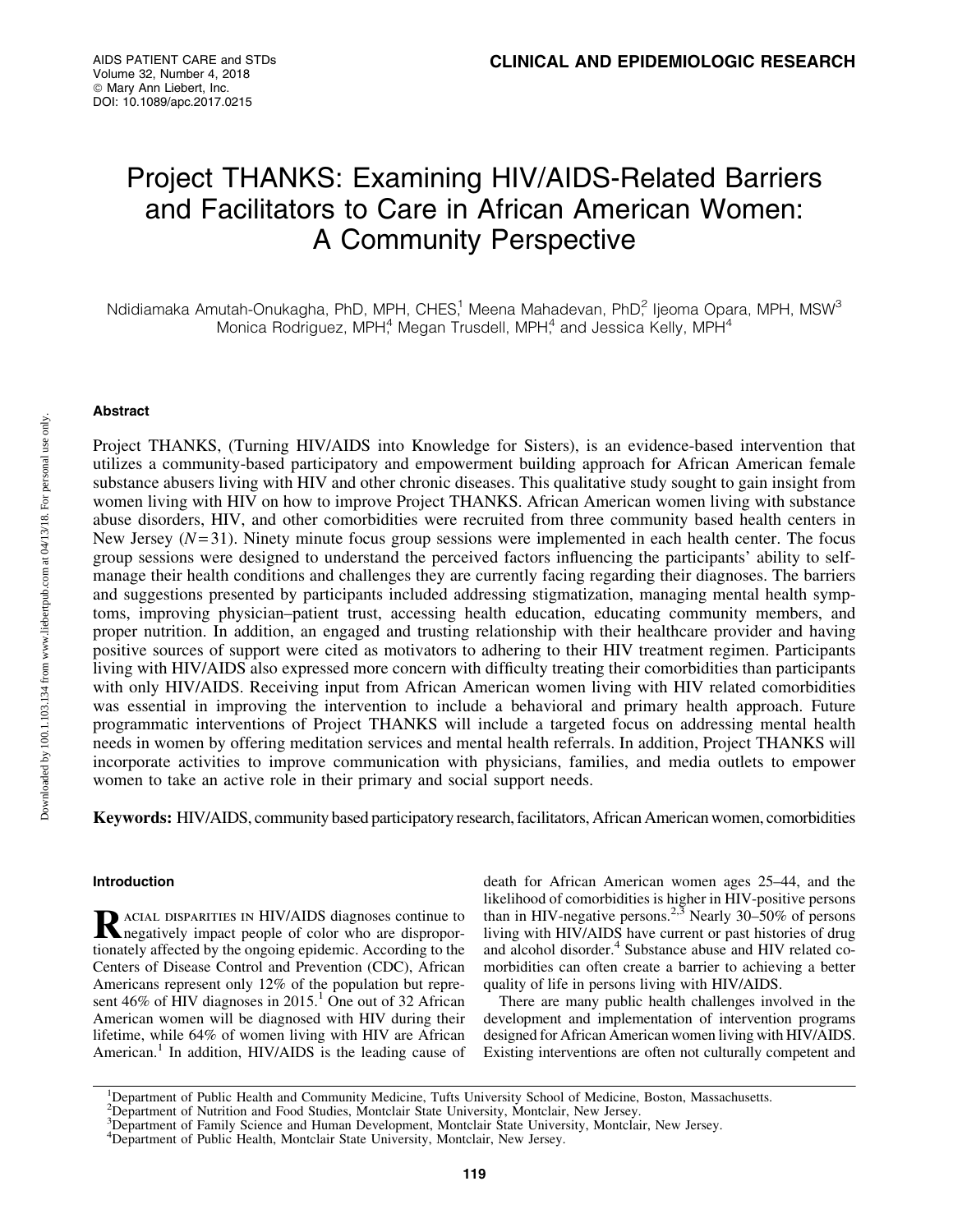# Project THANKS: Examining HIV/AIDS-Related Barriers and Facilitators to Care in African American Women: A Community Perspective

Ndidiamaka Amutah-Onukagha, PhD, MPH, CHES,<sup>1</sup> Meena Mahadevan, PhD,<sup>2</sup> Ijeoma Opara, MPH, MSW<sup>3</sup> Monica Rodriguez, MPH<sup>4</sup> Megan Trusdell, MPH<sup>4</sup> and Jessica Kelly, MPH<sup>4</sup>

# Abstract

Project THANKS, (Turning HIV/AIDS into Knowledge for Sisters), is an evidence-based intervention that utilizes a community-based participatory and empowerment building approach for African American female substance abusers living with HIV and other chronic diseases. This qualitative study sought to gain insight from women living with HIV on how to improve Project THANKS. African American women living with substance abuse disorders, HIV, and other comorbidities were recruited from three community based health centers in New Jersey  $(N=31)$ . Ninety minute focus group sessions were implemented in each health center. The focus group sessions were designed to understand the perceived factors influencing the participants' ability to selfmanage their health conditions and challenges they are currently facing regarding their diagnoses. The barriers and suggestions presented by participants included addressing stigmatization, managing mental health symptoms, improving physician–patient trust, accessing health education, educating community members, and proper nutrition. In addition, an engaged and trusting relationship with their healthcare provider and having positive sources of support were cited as motivators to adhering to their HIV treatment regimen. Participants living with HIV/AIDS also expressed more concern with difficulty treating their comorbidities than participants with only HIV/AIDS. Receiving input from African American women living with HIV related comorbidities was essential in improving the intervention to include a behavioral and primary health approach. Future programmatic interventions of Project THANKS will include a targeted focus on addressing mental health needs in women by offering meditation services and mental health referrals. In addition, Project THANKS will incorporate activities to improve communication with physicians, families, and media outlets to empower women to take an active role in their primary and social support needs.

Keywords: HIV/AIDS, community based participatory research, facilitators, African American women, comorbidities

# Introduction

RACIAL DISPARITIES IN HIV/AIDS diagnoses continue to negatively impact people of color who are disproportionately affected by the ongoing epidemic. According to the Centers of Disease Control and Prevention (CDC), African Americans represent only 12% of the population but represent  $46\%$  of HIV diagnoses in  $2015$ .<sup>1</sup> One out of 32 African American women will be diagnosed with HIV during their lifetime, while 64% of women living with HIV are African American.<sup>1</sup> In addition, HIV/AIDS is the leading cause of death for African American women ages 25–44, and the likelihood of comorbidities is higher in HIV-positive persons than in HIV-negative persons.<sup>2,3</sup> Nearly 30–50% of persons living with HIV/AIDS have current or past histories of drug and alcohol disorder.<sup>4</sup> Substance abuse and HIV related comorbidities can often create a barrier to achieving a better quality of life in persons living with HIV/AIDS.

There are many public health challenges involved in the development and implementation of intervention programs designed for African American women living with HIV/AIDS. Existing interventions are often not culturally competent and

Downloaded by 100.1.103.134 from www.liebertpub.com at 04/13/18. For personal use only. Downloaded by 100.1.103.134 from www.liebertpub.com at 04/13/18. For personal use only.

<sup>&</sup>lt;sup>1</sup>Department of Public Health and Community Medicine, Tufts University School of Medicine, Boston, Massachusetts.

<sup>&</sup>lt;sup>2</sup>Department of Nutrition and Food Studies, Montclair State University, Montclair, New Jersey.

<sup>&</sup>lt;sup>3</sup>Department of Family Science and Human Development, Montclair State University, Montclair, New Jersey.

<sup>&</sup>lt;sup>4</sup>Department of Public Health, Montclair State University, Montclair, New Jersey.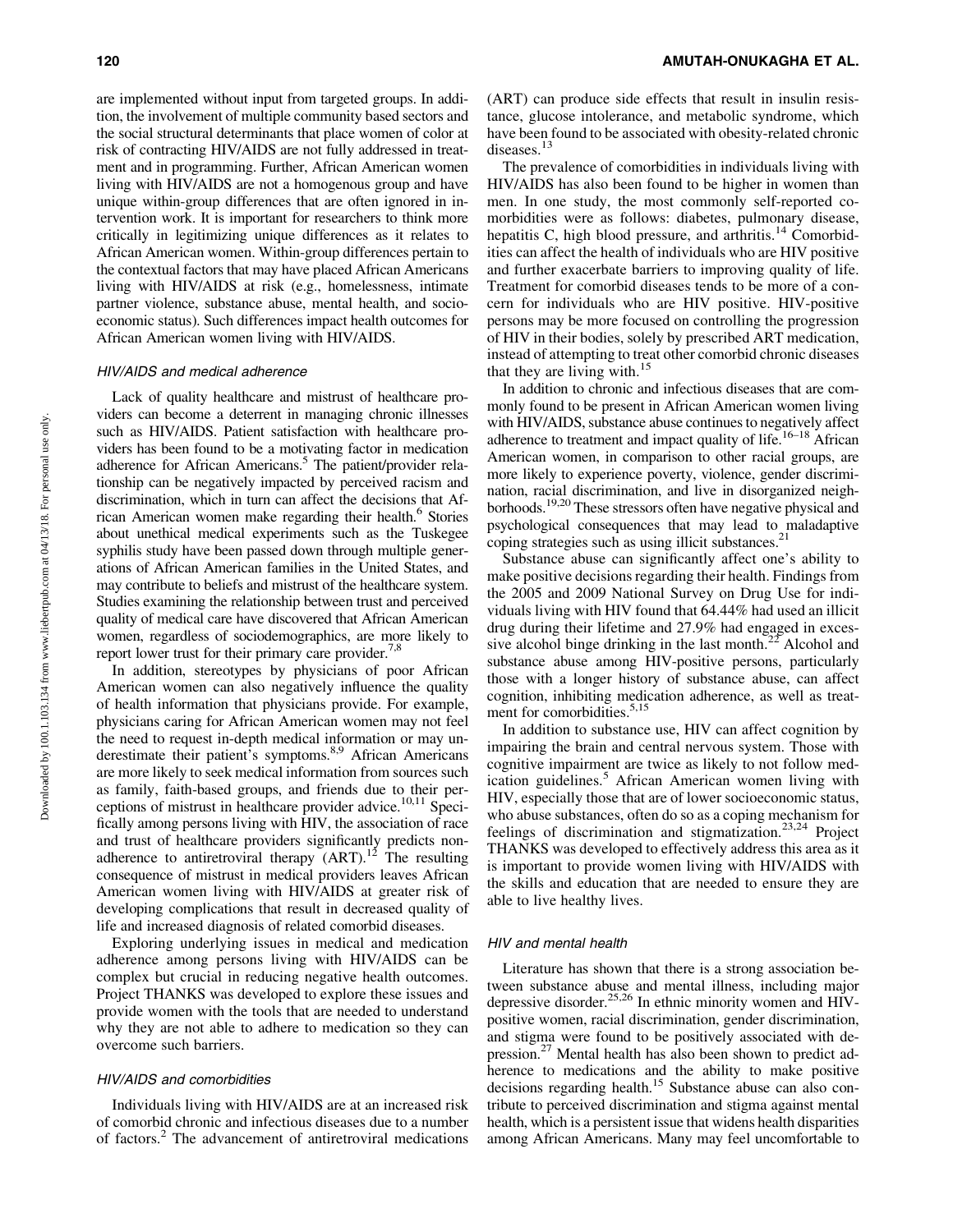are implemented without input from targeted groups. In addition, the involvement of multiple community based sectors and the social structural determinants that place women of color at risk of contracting HIV/AIDS are not fully addressed in treatment and in programming. Further, African American women living with HIV/AIDS are not a homogenous group and have unique within-group differences that are often ignored in intervention work. It is important for researchers to think more critically in legitimizing unique differences as it relates to African American women. Within-group differences pertain to the contextual factors that may have placed African Americans living with HIV/AIDS at risk (e.g., homelessness, intimate partner violence, substance abuse, mental health, and socioeconomic status). Such differences impact health outcomes for African American women living with HIV/AIDS.

# HIV/AIDS and medical adherence

Lack of quality healthcare and mistrust of healthcare providers can become a deterrent in managing chronic illnesses such as HIV/AIDS. Patient satisfaction with healthcare providers has been found to be a motivating factor in medication adherence for African Americans.<sup>5</sup> The patient/provider relationship can be negatively impacted by perceived racism and discrimination, which in turn can affect the decisions that African American women make regarding their health.<sup>6</sup> Stories about unethical medical experiments such as the Tuskegee syphilis study have been passed down through multiple generations of African American families in the United States, and may contribute to beliefs and mistrust of the healthcare system. Studies examining the relationship between trust and perceived quality of medical care have discovered that African American women, regardless of sociodemographics, are more likely to report lower trust for their primary care provider.<sup>7,8</sup>

In addition, stereotypes by physicians of poor African American women can also negatively influence the quality of health information that physicians provide. For example, physicians caring for African American women may not feel the need to request in-depth medical information or may underestimate their patient's symptoms.<sup>8,9</sup> African Americans are more likely to seek medical information from sources such as family, faith-based groups, and friends due to their perceptions of mistrust in healthcare provider advice.<sup>10,11</sup> Specifically among persons living with HIV, the association of race and trust of healthcare providers significantly predicts nonadherence to antiretroviral therapy  $(ART)$ .<sup>12</sup> The resulting consequence of mistrust in medical providers leaves African American women living with HIV/AIDS at greater risk of developing complications that result in decreased quality of life and increased diagnosis of related comorbid diseases.

Exploring underlying issues in medical and medication adherence among persons living with HIV/AIDS can be complex but crucial in reducing negative health outcomes. Project THANKS was developed to explore these issues and provide women with the tools that are needed to understand why they are not able to adhere to medication so they can overcome such barriers.

#### HIV/AIDS and comorbidities

Individuals living with HIV/AIDS are at an increased risk of comorbid chronic and infectious diseases due to a number of factors.<sup>2</sup> The advancement of antiretroviral medications (ART) can produce side effects that result in insulin resistance, glucose intolerance, and metabolic syndrome, which have been found to be associated with obesity-related chronic diseases.<sup>13</sup>

The prevalence of comorbidities in individuals living with HIV/AIDS has also been found to be higher in women than men. In one study, the most commonly self-reported comorbidities were as follows: diabetes, pulmonary disease, hepatitis C, high blood pressure, and arthritis.<sup>14</sup> Comorbidities can affect the health of individuals who are HIV positive and further exacerbate barriers to improving quality of life. Treatment for comorbid diseases tends to be more of a concern for individuals who are HIV positive. HIV-positive persons may be more focused on controlling the progression of HIV in their bodies, solely by prescribed ART medication, instead of attempting to treat other comorbid chronic diseases that they are living with.<sup>15</sup>

In addition to chronic and infectious diseases that are commonly found to be present in African American women living with HIV/AIDS, substance abuse continues to negatively affect adherence to treatment and impact quality of life.<sup>16–18</sup> African American women, in comparison to other racial groups, are more likely to experience poverty, violence, gender discrimination, racial discrimination, and live in disorganized neighborhoods.19,20 These stressors often have negative physical and psychological consequences that may lead to maladaptive coping strategies such as using illicit substances.<sup>21</sup>

Substance abuse can significantly affect one's ability to make positive decisions regarding their health. Findings from the 2005 and 2009 National Survey on Drug Use for individuals living with HIV found that 64.44% had used an illicit drug during their lifetime and 27.9% had engaged in excessive alcohol binge drinking in the last month.<sup>22</sup> Alcohol and substance abuse among HIV-positive persons, particularly those with a longer history of substance abuse, can affect cognition, inhibiting medication adherence, as well as treatment for comorbidities.<sup>5,15</sup>

In addition to substance use, HIV can affect cognition by impairing the brain and central nervous system. Those with cognitive impairment are twice as likely to not follow medication guidelines.<sup>5</sup> African American women living with HIV, especially those that are of lower socioeconomic status, who abuse substances, often do so as a coping mechanism for feelings of discrimination and stigmatization.<sup>23,24</sup> Project THANKS was developed to effectively address this area as it is important to provide women living with HIV/AIDS with the skills and education that are needed to ensure they are able to live healthy lives.

#### HIV and mental health

Literature has shown that there is a strong association between substance abuse and mental illness, including major depressive disorder.25,26 In ethnic minority women and HIVpositive women, racial discrimination, gender discrimination, and stigma were found to be positively associated with depression.27 Mental health has also been shown to predict adherence to medications and the ability to make positive decisions regarding health.<sup>15</sup> Substance abuse can also contribute to perceived discrimination and stigma against mental health, which is a persistent issue that widens health disparities among African Americans. Many may feel uncomfortable to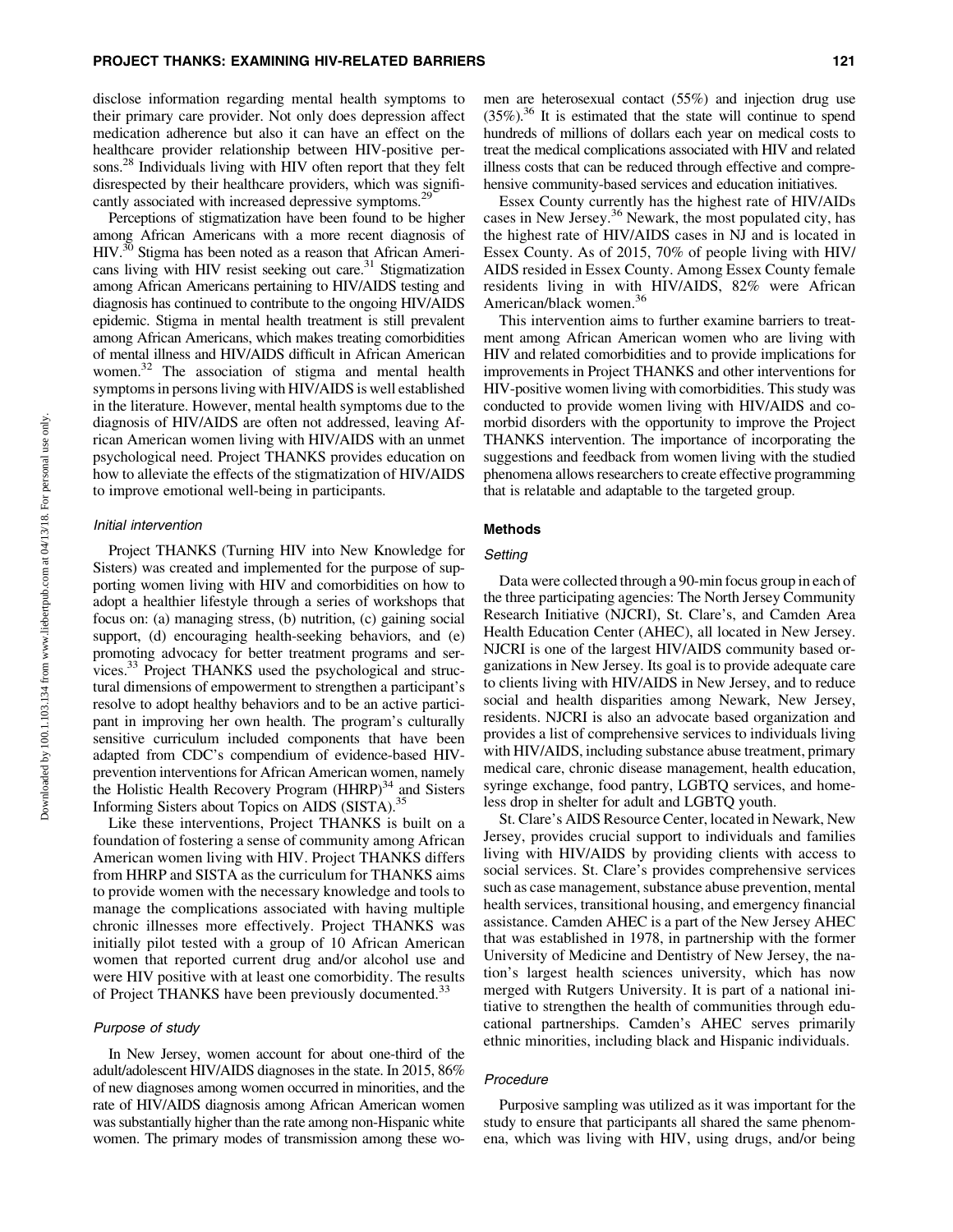disclose information regarding mental health symptoms to their primary care provider. Not only does depression affect medication adherence but also it can have an effect on the healthcare provider relationship between HIV-positive persons.<sup>28</sup> Individuals living with HIV often report that they felt disrespected by their healthcare providers, which was significantly associated with increased depressive symptoms.<sup>29</sup>

Perceptions of stigmatization have been found to be higher among African Americans with a more recent diagnosis of  $HIV.<sup>30</sup>$  Stigma has been noted as a reason that African Americans living with HIV resist seeking out care. $31$  Stigmatization among African Americans pertaining to HIV/AIDS testing and diagnosis has continued to contribute to the ongoing HIV/AIDS epidemic. Stigma in mental health treatment is still prevalent among African Americans, which makes treating comorbidities of mental illness and HIV/AIDS difficult in African American women.<sup>32</sup> The association of stigma and mental health symptoms in persons living with HIV/AIDS is well established in the literature. However, mental health symptoms due to the diagnosis of HIV/AIDS are often not addressed, leaving African American women living with HIV/AIDS with an unmet psychological need. Project THANKS provides education on how to alleviate the effects of the stigmatization of HIV/AIDS to improve emotional well-being in participants.

# Initial intervention

Project THANKS (Turning HIV into New Knowledge for Sisters) was created and implemented for the purpose of supporting women living with HIV and comorbidities on how to adopt a healthier lifestyle through a series of workshops that focus on: (a) managing stress, (b) nutrition, (c) gaining social support, (d) encouraging health-seeking behaviors, and (e) promoting advocacy for better treatment programs and services.33 Project THANKS used the psychological and structural dimensions of empowerment to strengthen a participant's resolve to adopt healthy behaviors and to be an active participant in improving her own health. The program's culturally sensitive curriculum included components that have been adapted from CDC's compendium of evidence-based HIVprevention interventions for African American women, namely the Holistic Health Recovery Program  $(HHRP)^{34}$  and Sisters Informing Sisters about Topics on AIDS (SISTA).<sup>35</sup>

Like these interventions, Project THANKS is built on a foundation of fostering a sense of community among African American women living with HIV. Project THANKS differs from HHRP and SISTA as the curriculum for THANKS aims to provide women with the necessary knowledge and tools to manage the complications associated with having multiple chronic illnesses more effectively. Project THANKS was initially pilot tested with a group of 10 African American women that reported current drug and/or alcohol use and were HIV positive with at least one comorbidity. The results of Project THANKS have been previously documented.<sup>33</sup>

## Purpose of study

In New Jersey, women account for about one-third of the adult/adolescent HIV/AIDS diagnoses in the state. In 2015, 86% of new diagnoses among women occurred in minorities, and the rate of HIV/AIDS diagnosis among African American women was substantially higher than the rate among non-Hispanic white women. The primary modes of transmission among these women are heterosexual contact (55%) and injection drug use  $(35\%)$ <sup>36</sup> It is estimated that the state will continue to spend hundreds of millions of dollars each year on medical costs to treat the medical complications associated with HIV and related illness costs that can be reduced through effective and comprehensive community-based services and education initiatives.

Essex County currently has the highest rate of HIV/AIDs cases in New Jersey.<sup>36</sup> Newark, the most populated city, has the highest rate of HIV/AIDS cases in NJ and is located in Essex County. As of 2015, 70% of people living with HIV/ AIDS resided in Essex County. Among Essex County female residents living in with HIV/AIDS, 82% were African American/black women.<sup>36</sup>

This intervention aims to further examine barriers to treatment among African American women who are living with HIV and related comorbidities and to provide implications for improvements in Project THANKS and other interventions for HIV-positive women living with comorbidities. This study was conducted to provide women living with HIV/AIDS and comorbid disorders with the opportunity to improve the Project THANKS intervention. The importance of incorporating the suggestions and feedback from women living with the studied phenomena allows researchers to create effective programming that is relatable and adaptable to the targeted group.

# Methods

# **Setting**

Data were collected through a 90-min focus group in each of the three participating agencies: The North Jersey Community Research Initiative (NJCRI), St. Clare's, and Camden Area Health Education Center (AHEC), all located in New Jersey. NJCRI is one of the largest HIV/AIDS community based organizations in New Jersey. Its goal is to provide adequate care to clients living with HIV/AIDS in New Jersey, and to reduce social and health disparities among Newark, New Jersey, residents. NJCRI is also an advocate based organization and provides a list of comprehensive services to individuals living with HIV/AIDS, including substance abuse treatment, primary medical care, chronic disease management, health education, syringe exchange, food pantry, LGBTQ services, and homeless drop in shelter for adult and LGBTQ youth.

St. Clare's AIDS Resource Center, located in Newark, New Jersey, provides crucial support to individuals and families living with HIV/AIDS by providing clients with access to social services. St. Clare's provides comprehensive services such as case management, substance abuse prevention, mental health services, transitional housing, and emergency financial assistance. Camden AHEC is a part of the New Jersey AHEC that was established in 1978, in partnership with the former University of Medicine and Dentistry of New Jersey, the nation's largest health sciences university, which has now merged with Rutgers University. It is part of a national initiative to strengthen the health of communities through educational partnerships. Camden's AHEC serves primarily ethnic minorities, including black and Hispanic individuals.

# Procedure

Purposive sampling was utilized as it was important for the study to ensure that participants all shared the same phenomena, which was living with HIV, using drugs, and/or being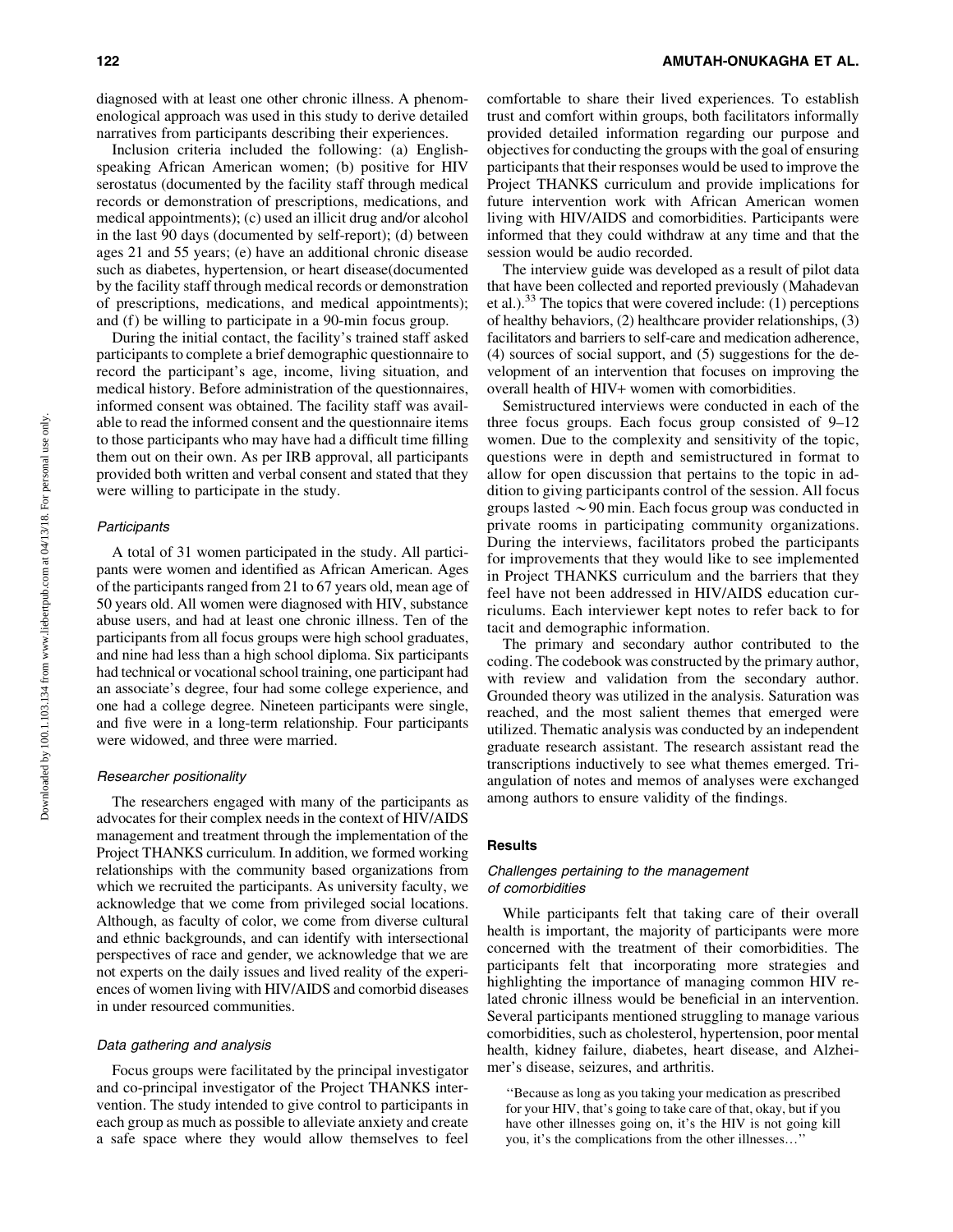diagnosed with at least one other chronic illness. A phenomenological approach was used in this study to derive detailed narratives from participants describing their experiences.

Inclusion criteria included the following: (a) Englishspeaking African American women; (b) positive for HIV serostatus (documented by the facility staff through medical records or demonstration of prescriptions, medications, and medical appointments); (c) used an illicit drug and/or alcohol in the last 90 days (documented by self-report); (d) between ages 21 and 55 years; (e) have an additional chronic disease such as diabetes, hypertension, or heart disease(documented by the facility staff through medical records or demonstration of prescriptions, medications, and medical appointments); and (f) be willing to participate in a 90-min focus group.

During the initial contact, the facility's trained staff asked participants to complete a brief demographic questionnaire to record the participant's age, income, living situation, and medical history. Before administration of the questionnaires, informed consent was obtained. The facility staff was available to read the informed consent and the questionnaire items to those participants who may have had a difficult time filling them out on their own. As per IRB approval, all participants provided both written and verbal consent and stated that they were willing to participate in the study.

# **Participants**

A total of 31 women participated in the study. All participants were women and identified as African American. Ages of the participants ranged from 21 to 67 years old, mean age of 50 years old. All women were diagnosed with HIV, substance abuse users, and had at least one chronic illness. Ten of the participants from all focus groups were high school graduates, and nine had less than a high school diploma. Six participants had technical or vocational school training, one participant had an associate's degree, four had some college experience, and one had a college degree. Nineteen participants were single, and five were in a long-term relationship. Four participants were widowed, and three were married.

# Researcher positionality

The researchers engaged with many of the participants as advocates for their complex needs in the context of HIV/AIDS management and treatment through the implementation of the Project THANKS curriculum. In addition, we formed working relationships with the community based organizations from which we recruited the participants. As university faculty, we acknowledge that we come from privileged social locations. Although, as faculty of color, we come from diverse cultural and ethnic backgrounds, and can identify with intersectional perspectives of race and gender, we acknowledge that we are not experts on the daily issues and lived reality of the experiences of women living with HIV/AIDS and comorbid diseases in under resourced communities.

# Data gathering and analysis

Focus groups were facilitated by the principal investigator and co-principal investigator of the Project THANKS intervention. The study intended to give control to participants in each group as much as possible to alleviate anxiety and create a safe space where they would allow themselves to feel comfortable to share their lived experiences. To establish trust and comfort within groups, both facilitators informally provided detailed information regarding our purpose and objectives for conducting the groups with the goal of ensuring participants that their responses would be used to improve the Project THANKS curriculum and provide implications for future intervention work with African American women living with HIV/AIDS and comorbidities. Participants were informed that they could withdraw at any time and that the session would be audio recorded.

The interview guide was developed as a result of pilot data that have been collected and reported previously (Mahadevan et al.).<sup>33</sup> The topics that were covered include: (1) perceptions of healthy behaviors, (2) healthcare provider relationships, (3) facilitators and barriers to self-care and medication adherence, (4) sources of social support, and (5) suggestions for the development of an intervention that focuses on improving the overall health of HIV+ women with comorbidities.

Semistructured interviews were conducted in each of the three focus groups. Each focus group consisted of 9–12 women. Due to the complexity and sensitivity of the topic, questions were in depth and semistructured in format to allow for open discussion that pertains to the topic in addition to giving participants control of the session. All focus groups lasted  $\sim$  90 min. Each focus group was conducted in private rooms in participating community organizations. During the interviews, facilitators probed the participants for improvements that they would like to see implemented in Project THANKS curriculum and the barriers that they feel have not been addressed in HIV/AIDS education curriculums. Each interviewer kept notes to refer back to for tacit and demographic information.

The primary and secondary author contributed to the coding. The codebook was constructed by the primary author, with review and validation from the secondary author. Grounded theory was utilized in the analysis. Saturation was reached, and the most salient themes that emerged were utilized. Thematic analysis was conducted by an independent graduate research assistant. The research assistant read the transcriptions inductively to see what themes emerged. Triangulation of notes and memos of analyses were exchanged among authors to ensure validity of the findings.

# **Results**

# Challenges pertaining to the management of comorbidities

While participants felt that taking care of their overall health is important, the majority of participants were more concerned with the treatment of their comorbidities. The participants felt that incorporating more strategies and highlighting the importance of managing common HIV related chronic illness would be beneficial in an intervention. Several participants mentioned struggling to manage various comorbidities, such as cholesterol, hypertension, poor mental health, kidney failure, diabetes, heart disease, and Alzheimer's disease, seizures, and arthritis.

''Because as long as you taking your medication as prescribed for your HIV, that's going to take care of that, okay, but if you have other illnesses going on, it's the HIV is not going kill you, it's the complications from the other illnesses.''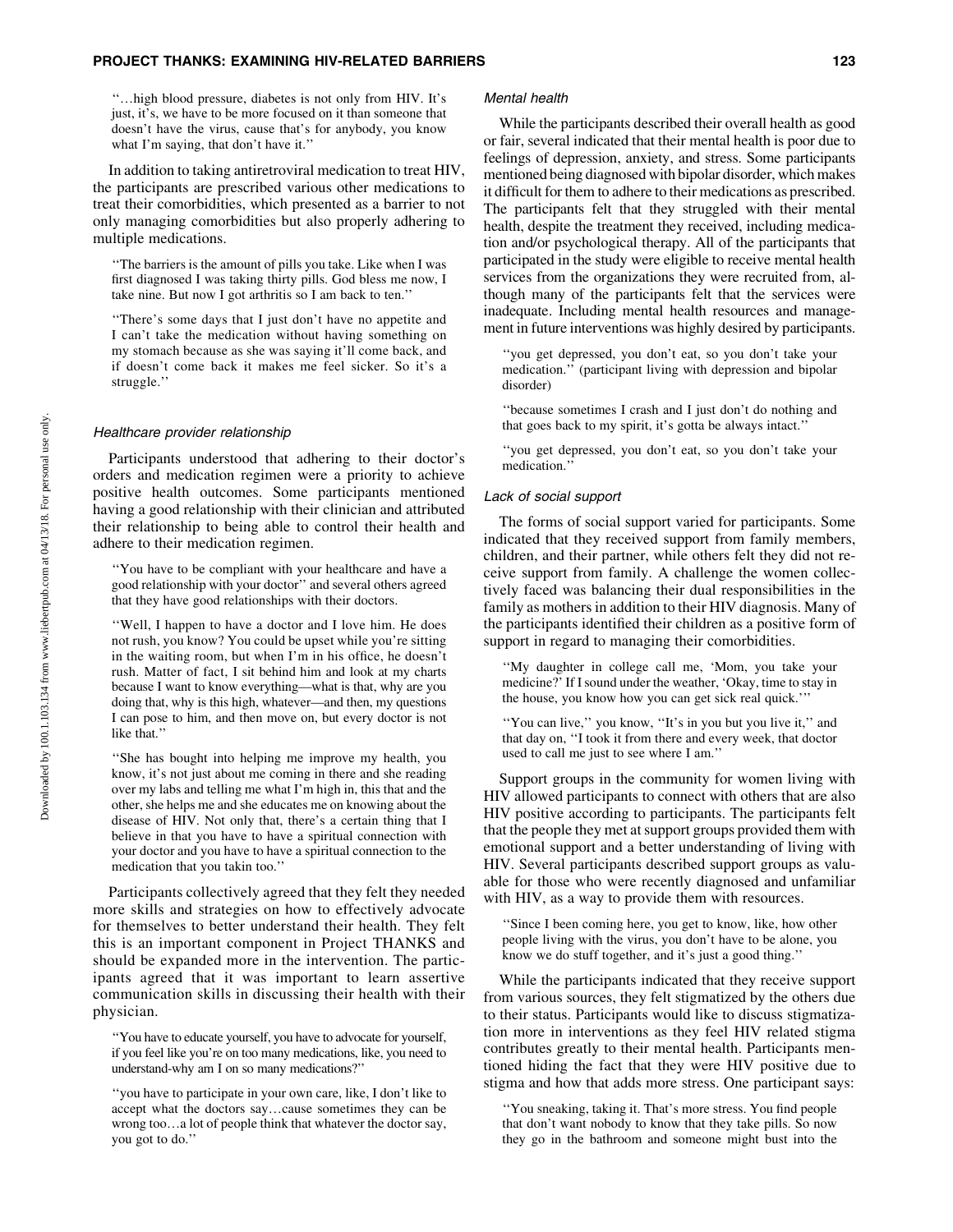''.high blood pressure, diabetes is not only from HIV. It's just, it's, we have to be more focused on it than someone that doesn't have the virus, cause that's for anybody, you know what I'm saying, that don't have it.''

In addition to taking antiretroviral medication to treat HIV, the participants are prescribed various other medications to treat their comorbidities, which presented as a barrier to not only managing comorbidities but also properly adhering to multiple medications.

''The barriers is the amount of pills you take. Like when I was first diagnosed I was taking thirty pills. God bless me now, I take nine. But now I got arthritis so I am back to ten.''

''There's some days that I just don't have no appetite and I can't take the medication without having something on my stomach because as she was saying it'll come back, and if doesn't come back it makes me feel sicker. So it's a struggle.''

## Healthcare provider relationship

Participants understood that adhering to their doctor's orders and medication regimen were a priority to achieve positive health outcomes. Some participants mentioned having a good relationship with their clinician and attributed their relationship to being able to control their health and adhere to their medication regimen.

''You have to be compliant with your healthcare and have a good relationship with your doctor'' and several others agreed that they have good relationships with their doctors.

''Well, I happen to have a doctor and I love him. He does not rush, you know? You could be upset while you're sitting in the waiting room, but when I'm in his office, he doesn't rush. Matter of fact, I sit behind him and look at my charts because I want to know everything—what is that, why are you doing that, why is this high, whatever—and then, my questions I can pose to him, and then move on, but every doctor is not like that.''

''She has bought into helping me improve my health, you know, it's not just about me coming in there and she reading over my labs and telling me what I'm high in, this that and the other, she helps me and she educates me on knowing about the disease of HIV. Not only that, there's a certain thing that I believe in that you have to have a spiritual connection with your doctor and you have to have a spiritual connection to the medication that you takin too.''

Participants collectively agreed that they felt they needed more skills and strategies on how to effectively advocate for themselves to better understand their health. They felt this is an important component in Project THANKS and should be expanded more in the intervention. The participants agreed that it was important to learn assertive communication skills in discussing their health with their physician.

''You have to educate yourself, you have to advocate for yourself, if you feel like you're on too many medications, like, you need to understand-why am I on so many medications?''

#### Mental health

While the participants described their overall health as good or fair, several indicated that their mental health is poor due to feelings of depression, anxiety, and stress. Some participants mentioned being diagnosed with bipolar disorder, which makes it difficult for them to adhere to their medications as prescribed. The participants felt that they struggled with their mental health, despite the treatment they received, including medication and/or psychological therapy. All of the participants that participated in the study were eligible to receive mental health services from the organizations they were recruited from, although many of the participants felt that the services were inadequate. Including mental health resources and management in future interventions was highly desired by participants.

''you get depressed, you don't eat, so you don't take your medication.'' (participant living with depression and bipolar disorder)

''because sometimes I crash and I just don't do nothing and that goes back to my spirit, it's gotta be always intact.''

''you get depressed, you don't eat, so you don't take your medication.''

# Lack of social support

The forms of social support varied for participants. Some indicated that they received support from family members, children, and their partner, while others felt they did not receive support from family. A challenge the women collectively faced was balancing their dual responsibilities in the family as mothers in addition to their HIV diagnosis. Many of the participants identified their children as a positive form of support in regard to managing their comorbidities.

''My daughter in college call me, 'Mom, you take your medicine?' If I sound under the weather, 'Okay, time to stay in the house, you know how you can get sick real quick.'''

''You can live,'' you know, ''It's in you but you live it,'' and that day on, ''I took it from there and every week, that doctor used to call me just to see where I am.''

Support groups in the community for women living with HIV allowed participants to connect with others that are also HIV positive according to participants. The participants felt that the people they met at support groups provided them with emotional support and a better understanding of living with HIV. Several participants described support groups as valuable for those who were recently diagnosed and unfamiliar with HIV, as a way to provide them with resources.

''Since I been coming here, you get to know, like, how other people living with the virus, you don't have to be alone, you know we do stuff together, and it's just a good thing.''

While the participants indicated that they receive support from various sources, they felt stigmatized by the others due to their status. Participants would like to discuss stigmatization more in interventions as they feel HIV related stigma contributes greatly to their mental health. Participants mentioned hiding the fact that they were HIV positive due to stigma and how that adds more stress. One participant says:

''You sneaking, taking it. That's more stress. You find people that don't want nobody to know that they take pills. So now they go in the bathroom and someone might bust into the

<sup>&#</sup>x27;'you have to participate in your own care, like, I don't like to accept what the doctors say...cause sometimes they can be wrong too...a lot of people think that whatever the doctor say, you got to do.''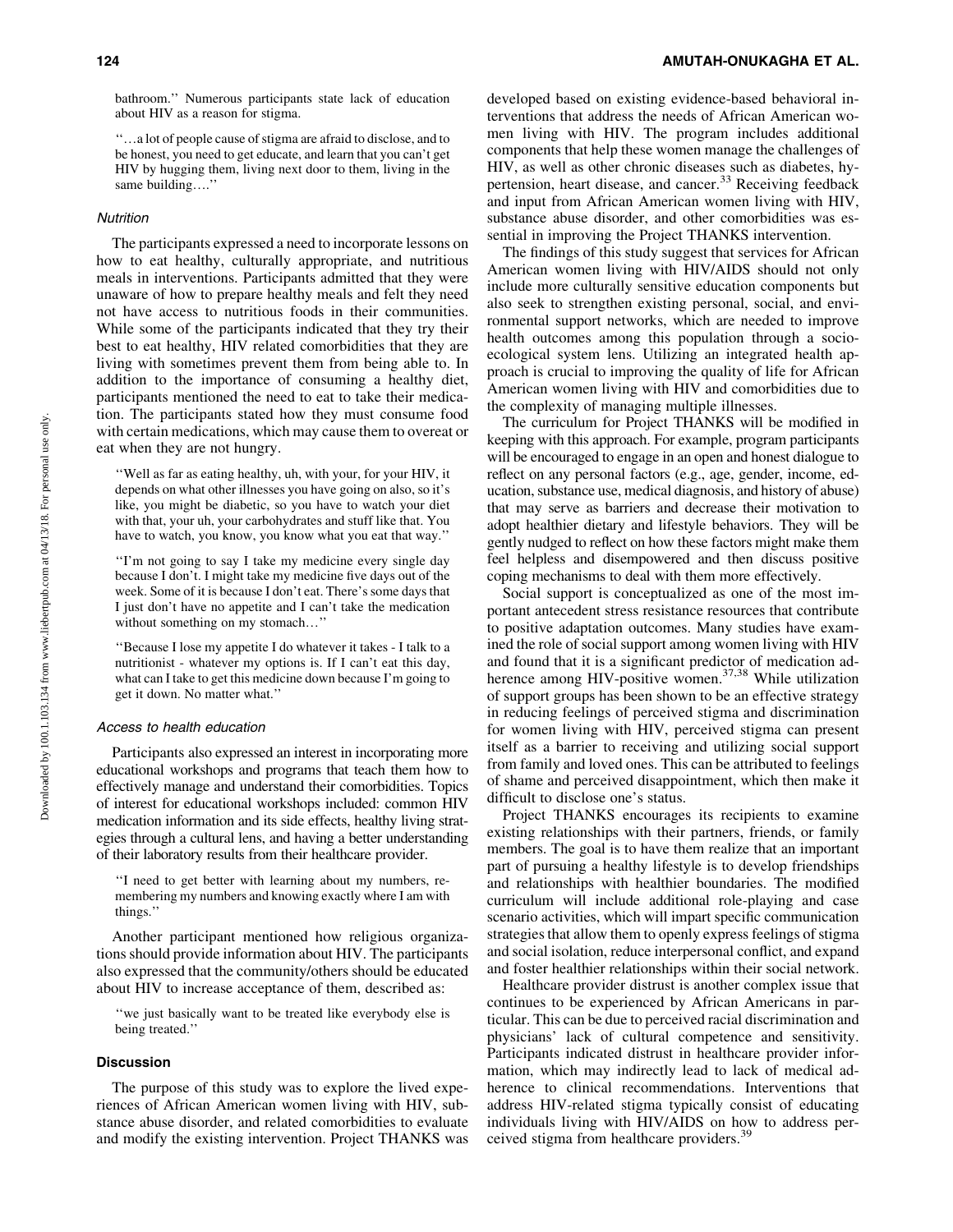bathroom.'' Numerous participants state lack of education about HIV as a reason for stigma.

''.a lot of people cause of stigma are afraid to disclose, and to be honest, you need to get educate, and learn that you can't get HIV by hugging them, living next door to them, living in the same building...."

## **Nutrition**

The participants expressed a need to incorporate lessons on how to eat healthy, culturally appropriate, and nutritious meals in interventions. Participants admitted that they were unaware of how to prepare healthy meals and felt they need not have access to nutritious foods in their communities. While some of the participants indicated that they try their best to eat healthy, HIV related comorbidities that they are living with sometimes prevent them from being able to. In addition to the importance of consuming a healthy diet, participants mentioned the need to eat to take their medication. The participants stated how they must consume food with certain medications, which may cause them to overeat or eat when they are not hungry.

''Well as far as eating healthy, uh, with your, for your HIV, it depends on what other illnesses you have going on also, so it's like, you might be diabetic, so you have to watch your diet with that, your uh, your carbohydrates and stuff like that. You have to watch, you know, you know what you eat that way.''

''I'm not going to say I take my medicine every single day because I don't. I might take my medicine five days out of the week. Some of it is because I don't eat. There's some days that I just don't have no appetite and I can't take the medication without something on my stomach..."

''Because I lose my appetite I do whatever it takes - I talk to a nutritionist - whatever my options is. If I can't eat this day, what can I take to get this medicine down because I'm going to get it down. No matter what.''

#### Access to health education

Participants also expressed an interest in incorporating more educational workshops and programs that teach them how to effectively manage and understand their comorbidities. Topics of interest for educational workshops included: common HIV medication information and its side effects, healthy living strategies through a cultural lens, and having a better understanding of their laboratory results from their healthcare provider.

''I need to get better with learning about my numbers, remembering my numbers and knowing exactly where I am with things.''

Another participant mentioned how religious organizations should provide information about HIV. The participants also expressed that the community/others should be educated about HIV to increase acceptance of them, described as:

''we just basically want to be treated like everybody else is being treated.''

# **Discussion**

The purpose of this study was to explore the lived experiences of African American women living with HIV, substance abuse disorder, and related comorbidities to evaluate and modify the existing intervention. Project THANKS was developed based on existing evidence-based behavioral interventions that address the needs of African American women living with HIV. The program includes additional components that help these women manage the challenges of HIV, as well as other chronic diseases such as diabetes, hypertension, heart disease, and cancer.<sup>33</sup> Receiving feedback and input from African American women living with HIV, substance abuse disorder, and other comorbidities was essential in improving the Project THANKS intervention.

The findings of this study suggest that services for African American women living with HIV/AIDS should not only include more culturally sensitive education components but also seek to strengthen existing personal, social, and environmental support networks, which are needed to improve health outcomes among this population through a socioecological system lens. Utilizing an integrated health approach is crucial to improving the quality of life for African American women living with HIV and comorbidities due to the complexity of managing multiple illnesses.

The curriculum for Project THANKS will be modified in keeping with this approach. For example, program participants will be encouraged to engage in an open and honest dialogue to reflect on any personal factors (e.g., age, gender, income, education, substance use, medical diagnosis, and history of abuse) that may serve as barriers and decrease their motivation to adopt healthier dietary and lifestyle behaviors. They will be gently nudged to reflect on how these factors might make them feel helpless and disempowered and then discuss positive coping mechanisms to deal with them more effectively.

Social support is conceptualized as one of the most important antecedent stress resistance resources that contribute to positive adaptation outcomes. Many studies have examined the role of social support among women living with HIV and found that it is a significant predictor of medication adherence among HIV-positive women.<sup>37,38</sup> While utilization of support groups has been shown to be an effective strategy in reducing feelings of perceived stigma and discrimination for women living with HIV, perceived stigma can present itself as a barrier to receiving and utilizing social support from family and loved ones. This can be attributed to feelings of shame and perceived disappointment, which then make it difficult to disclose one's status.

Project THANKS encourages its recipients to examine existing relationships with their partners, friends, or family members. The goal is to have them realize that an important part of pursuing a healthy lifestyle is to develop friendships and relationships with healthier boundaries. The modified curriculum will include additional role-playing and case scenario activities, which will impart specific communication strategies that allow them to openly express feelings of stigma and social isolation, reduce interpersonal conflict, and expand and foster healthier relationships within their social network.

Healthcare provider distrust is another complex issue that continues to be experienced by African Americans in particular. This can be due to perceived racial discrimination and physicians' lack of cultural competence and sensitivity. Participants indicated distrust in healthcare provider information, which may indirectly lead to lack of medical adherence to clinical recommendations. Interventions that address HIV-related stigma typically consist of educating individuals living with HIV/AIDS on how to address perceived stigma from healthcare providers.<sup>39</sup>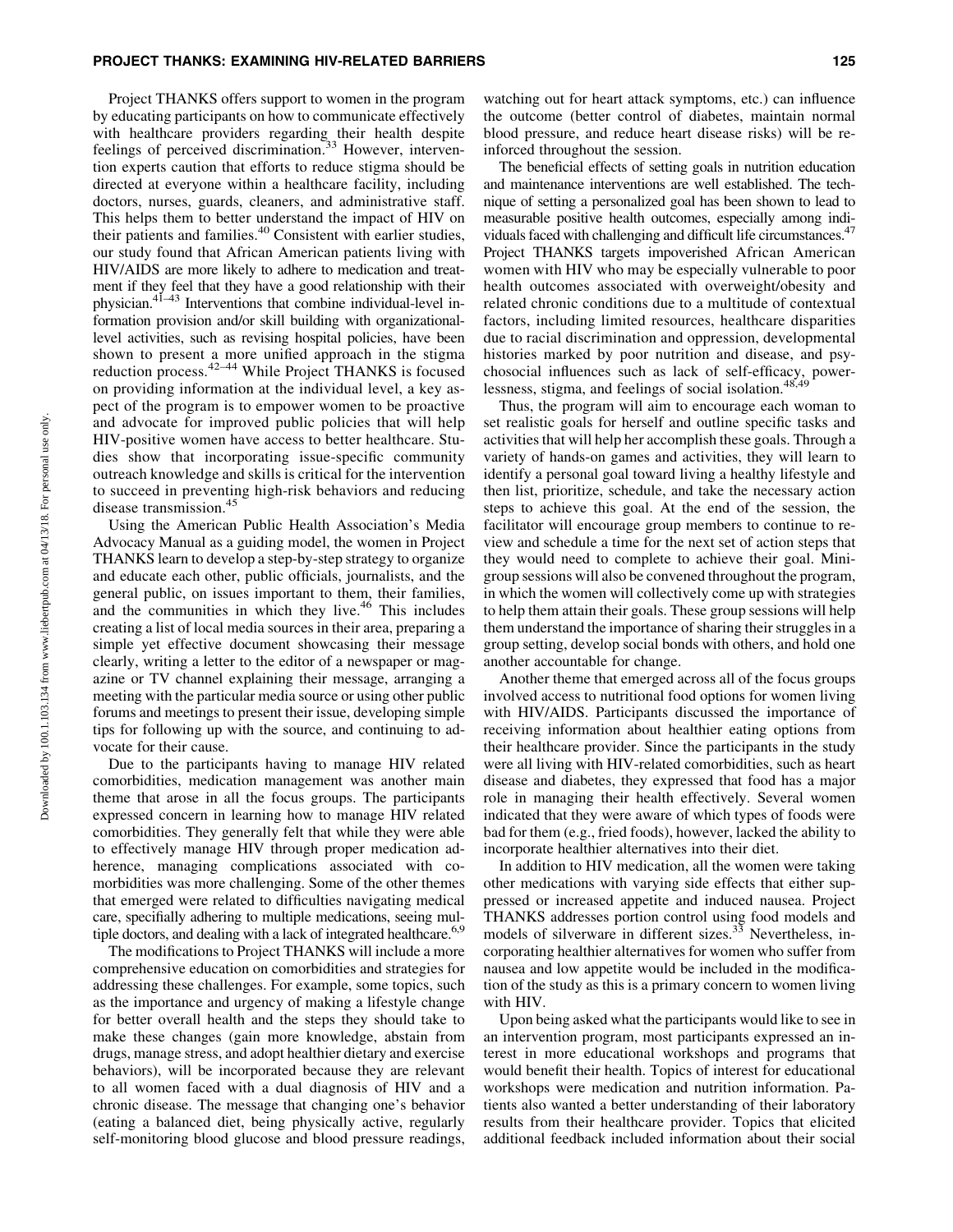## PROJECT THANKS: EXAMINING HIV-RELATED BARRIERS 125

Project THANKS offers support to women in the program by educating participants on how to communicate effectively with healthcare providers regarding their health despite feelings of perceived discrimination.<sup>33</sup> However, intervention experts caution that efforts to reduce stigma should be directed at everyone within a healthcare facility, including doctors, nurses, guards, cleaners, and administrative staff. This helps them to better understand the impact of HIV on their patients and families.<sup>40</sup> Consistent with earlier studies, our study found that African American patients living with HIV/AIDS are more likely to adhere to medication and treatment if they feel that they have a good relationship with their physician.41–43 Interventions that combine individual-level information provision and/or skill building with organizationallevel activities, such as revising hospital policies, have been shown to present a more unified approach in the stigma reduction process.<sup>42–44</sup> While Project THANKS is focused on providing information at the individual level, a key aspect of the program is to empower women to be proactive and advocate for improved public policies that will help HIV-positive women have access to better healthcare. Studies show that incorporating issue-specific community outreach knowledge and skills is critical for the intervention to succeed in preventing high-risk behaviors and reducing disease transmission.<sup>45</sup>

Using the American Public Health Association's Media Advocacy Manual as a guiding model, the women in Project THANKS learn to develop a step-by-step strategy to organize and educate each other, public officials, journalists, and the general public, on issues important to them, their families, and the communities in which they live. $46$  This includes creating a list of local media sources in their area, preparing a simple yet effective document showcasing their message clearly, writing a letter to the editor of a newspaper or magazine or TV channel explaining their message, arranging a meeting with the particular media source or using other public forums and meetings to present their issue, developing simple tips for following up with the source, and continuing to advocate for their cause.

Due to the participants having to manage HIV related comorbidities, medication management was another main theme that arose in all the focus groups. The participants expressed concern in learning how to manage HIV related comorbidities. They generally felt that while they were able to effectively manage HIV through proper medication adherence, managing complications associated with comorbidities was more challenging. Some of the other themes that emerged were related to difficulties navigating medical care, specifially adhering to multiple medications, seeing multiple doctors, and dealing with a lack of integrated healthcare.<sup>6,9</sup>

The modifications to Project THANKS will include a more comprehensive education on comorbidities and strategies for addressing these challenges. For example, some topics, such as the importance and urgency of making a lifestyle change for better overall health and the steps they should take to make these changes (gain more knowledge, abstain from drugs, manage stress, and adopt healthier dietary and exercise behaviors), will be incorporated because they are relevant to all women faced with a dual diagnosis of HIV and a chronic disease. The message that changing one's behavior (eating a balanced diet, being physically active, regularly self-monitoring blood glucose and blood pressure readings,

watching out for heart attack symptoms, etc.) can influence the outcome (better control of diabetes, maintain normal blood pressure, and reduce heart disease risks) will be reinforced throughout the session.

The beneficial effects of setting goals in nutrition education and maintenance interventions are well established. The technique of setting a personalized goal has been shown to lead to measurable positive health outcomes, especially among individuals faced with challenging and difficult life circumstances.<sup>47</sup> Project THANKS targets impoverished African American women with HIV who may be especially vulnerable to poor health outcomes associated with overweight/obesity and related chronic conditions due to a multitude of contextual factors, including limited resources, healthcare disparities due to racial discrimination and oppression, developmental histories marked by poor nutrition and disease, and psychosocial influences such as lack of self-efficacy, powerlessness, stigma, and feelings of social isolation. $48,49$ 

Thus, the program will aim to encourage each woman to set realistic goals for herself and outline specific tasks and activities that will help her accomplish these goals. Through a variety of hands-on games and activities, they will learn to identify a personal goal toward living a healthy lifestyle and then list, prioritize, schedule, and take the necessary action steps to achieve this goal. At the end of the session, the facilitator will encourage group members to continue to review and schedule a time for the next set of action steps that they would need to complete to achieve their goal. Minigroup sessions will also be convened throughout the program, in which the women will collectively come up with strategies to help them attain their goals. These group sessions will help them understand the importance of sharing their struggles in a group setting, develop social bonds with others, and hold one another accountable for change.

Another theme that emerged across all of the focus groups involved access to nutritional food options for women living with HIV/AIDS. Participants discussed the importance of receiving information about healthier eating options from their healthcare provider. Since the participants in the study were all living with HIV-related comorbidities, such as heart disease and diabetes, they expressed that food has a major role in managing their health effectively. Several women indicated that they were aware of which types of foods were bad for them (e.g., fried foods), however, lacked the ability to incorporate healthier alternatives into their diet.

In addition to HIV medication, all the women were taking other medications with varying side effects that either suppressed or increased appetite and induced nausea. Project THANKS addresses portion control using food models and models of silverware in different sizes.<sup>33</sup> Nevertheless, incorporating healthier alternatives for women who suffer from nausea and low appetite would be included in the modification of the study as this is a primary concern to women living with HIV.

Upon being asked what the participants would like to see in an intervention program, most participants expressed an interest in more educational workshops and programs that would benefit their health. Topics of interest for educational workshops were medication and nutrition information. Patients also wanted a better understanding of their laboratory results from their healthcare provider. Topics that elicited additional feedback included information about their social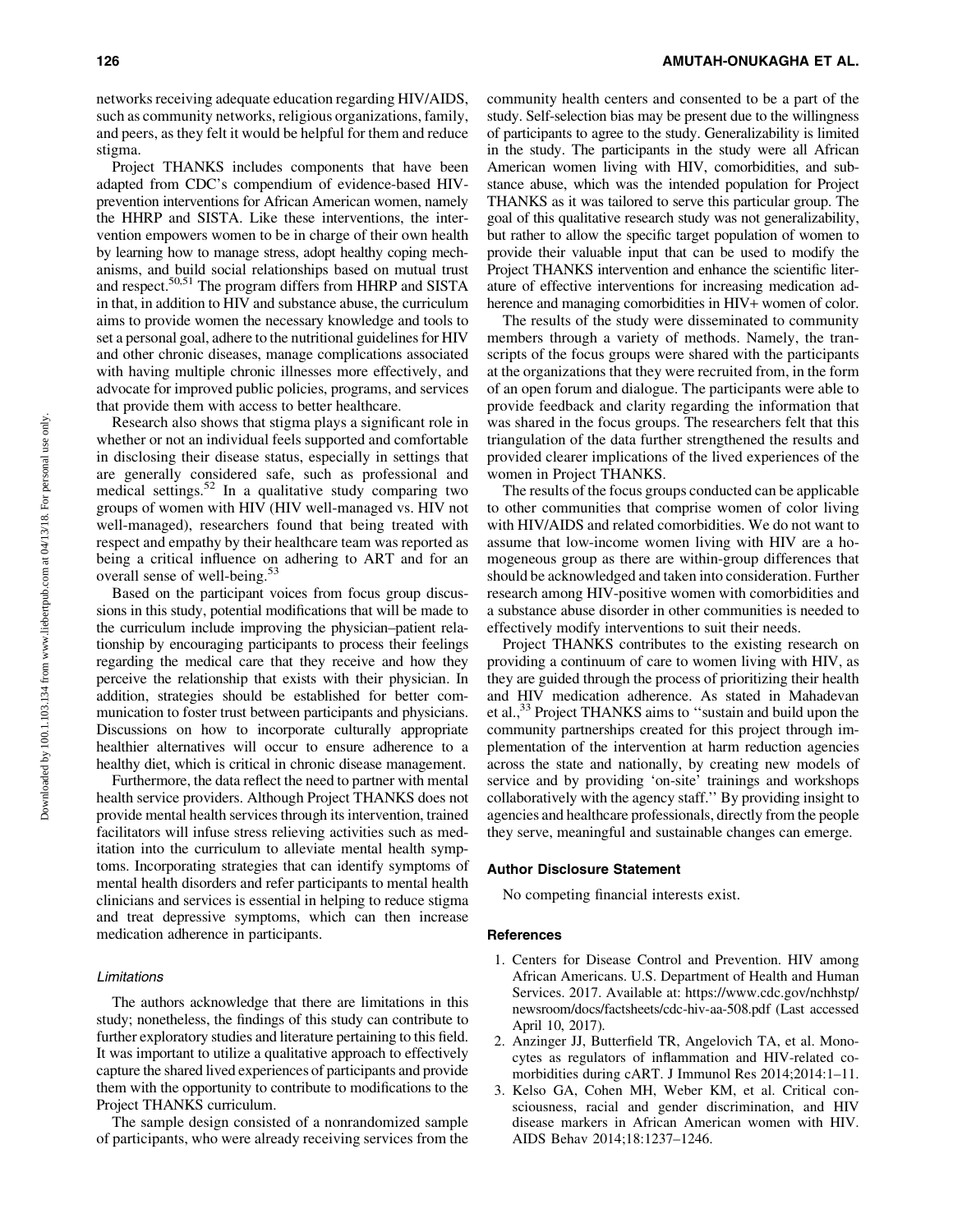Project THANKS includes components that have been adapted from CDC's compendium of evidence-based HIVprevention interventions for African American women, namely the HHRP and SISTA. Like these interventions, the intervention empowers women to be in charge of their own health by learning how to manage stress, adopt healthy coping mechanisms, and build social relationships based on mutual trust and respect.<sup>50,51</sup> The program differs from HHRP and SISTA in that, in addition to HIV and substance abuse, the curriculum aims to provide women the necessary knowledge and tools to set a personal goal, adhere to the nutritional guidelines for HIV and other chronic diseases, manage complications associated with having multiple chronic illnesses more effectively, and advocate for improved public policies, programs, and services that provide them with access to better healthcare.

Research also shows that stigma plays a significant role in whether or not an individual feels supported and comfortable in disclosing their disease status, especially in settings that are generally considered safe, such as professional and medical settings.<sup>52</sup> In a qualitative study comparing two groups of women with HIV (HIV well-managed vs. HIV not well-managed), researchers found that being treated with respect and empathy by their healthcare team was reported as being a critical influence on adhering to ART and for an overall sense of well-being.<sup>5</sup>

Based on the participant voices from focus group discussions in this study, potential modifications that will be made to the curriculum include improving the physician–patient relationship by encouraging participants to process their feelings regarding the medical care that they receive and how they perceive the relationship that exists with their physician. In addition, strategies should be established for better communication to foster trust between participants and physicians. Discussions on how to incorporate culturally appropriate healthier alternatives will occur to ensure adherence to a healthy diet, which is critical in chronic disease management.

Furthermore, the data reflect the need to partner with mental health service providers. Although Project THANKS does not provide mental health services through its intervention, trained facilitators will infuse stress relieving activities such as meditation into the curriculum to alleviate mental health symptoms. Incorporating strategies that can identify symptoms of mental health disorders and refer participants to mental health clinicians and services is essential in helping to reduce stigma and treat depressive symptoms, which can then increase medication adherence in participants.

# Limitations

The authors acknowledge that there are limitations in this study; nonetheless, the findings of this study can contribute to further exploratory studies and literature pertaining to this field. It was important to utilize a qualitative approach to effectively capture the shared lived experiences of participants and provide them with the opportunity to contribute to modifications to the Project THANKS curriculum.

The sample design consisted of a nonrandomized sample of participants, who were already receiving services from the community health centers and consented to be a part of the study. Self-selection bias may be present due to the willingness of participants to agree to the study. Generalizability is limited in the study. The participants in the study were all African American women living with HIV, comorbidities, and substance abuse, which was the intended population for Project THANKS as it was tailored to serve this particular group. The goal of this qualitative research study was not generalizability, but rather to allow the specific target population of women to provide their valuable input that can be used to modify the Project THANKS intervention and enhance the scientific literature of effective interventions for increasing medication adherence and managing comorbidities in HIV+ women of color.

The results of the study were disseminated to community members through a variety of methods. Namely, the transcripts of the focus groups were shared with the participants at the organizations that they were recruited from, in the form of an open forum and dialogue. The participants were able to provide feedback and clarity regarding the information that was shared in the focus groups. The researchers felt that this triangulation of the data further strengthened the results and provided clearer implications of the lived experiences of the women in Project THANKS.

The results of the focus groups conducted can be applicable to other communities that comprise women of color living with HIV/AIDS and related comorbidities. We do not want to assume that low-income women living with HIV are a homogeneous group as there are within-group differences that should be acknowledged and taken into consideration. Further research among HIV-positive women with comorbidities and a substance abuse disorder in other communities is needed to effectively modify interventions to suit their needs.

Project THANKS contributes to the existing research on providing a continuum of care to women living with HIV, as they are guided through the process of prioritizing their health and HIV medication adherence. As stated in Mahadevan et al.,33 Project THANKS aims to ''sustain and build upon the community partnerships created for this project through implementation of the intervention at harm reduction agencies across the state and nationally, by creating new models of service and by providing 'on-site' trainings and workshops collaboratively with the agency staff.'' By providing insight to agencies and healthcare professionals, directly from the people they serve, meaningful and sustainable changes can emerge.

# Author Disclosure Statement

No competing financial interests exist.

#### References

- 1. Centers for Disease Control and Prevention. HIV among African Americans. U.S. Department of Health and Human Services. 2017. Available at: https://www.cdc.gov/nchhstp/ newsroom/docs/factsheets/cdc-hiv-aa-508.pdf (Last accessed April 10, 2017).
- 2. Anzinger JJ, Butterfield TR, Angelovich TA, et al. Monocytes as regulators of inflammation and HIV-related comorbidities during cART. J Immunol Res 2014;2014:1–11.
- 3. Kelso GA, Cohen MH, Weber KM, et al. Critical consciousness, racial and gender discrimination, and HIV disease markers in African American women with HIV. AIDS Behav 2014;18:1237–1246.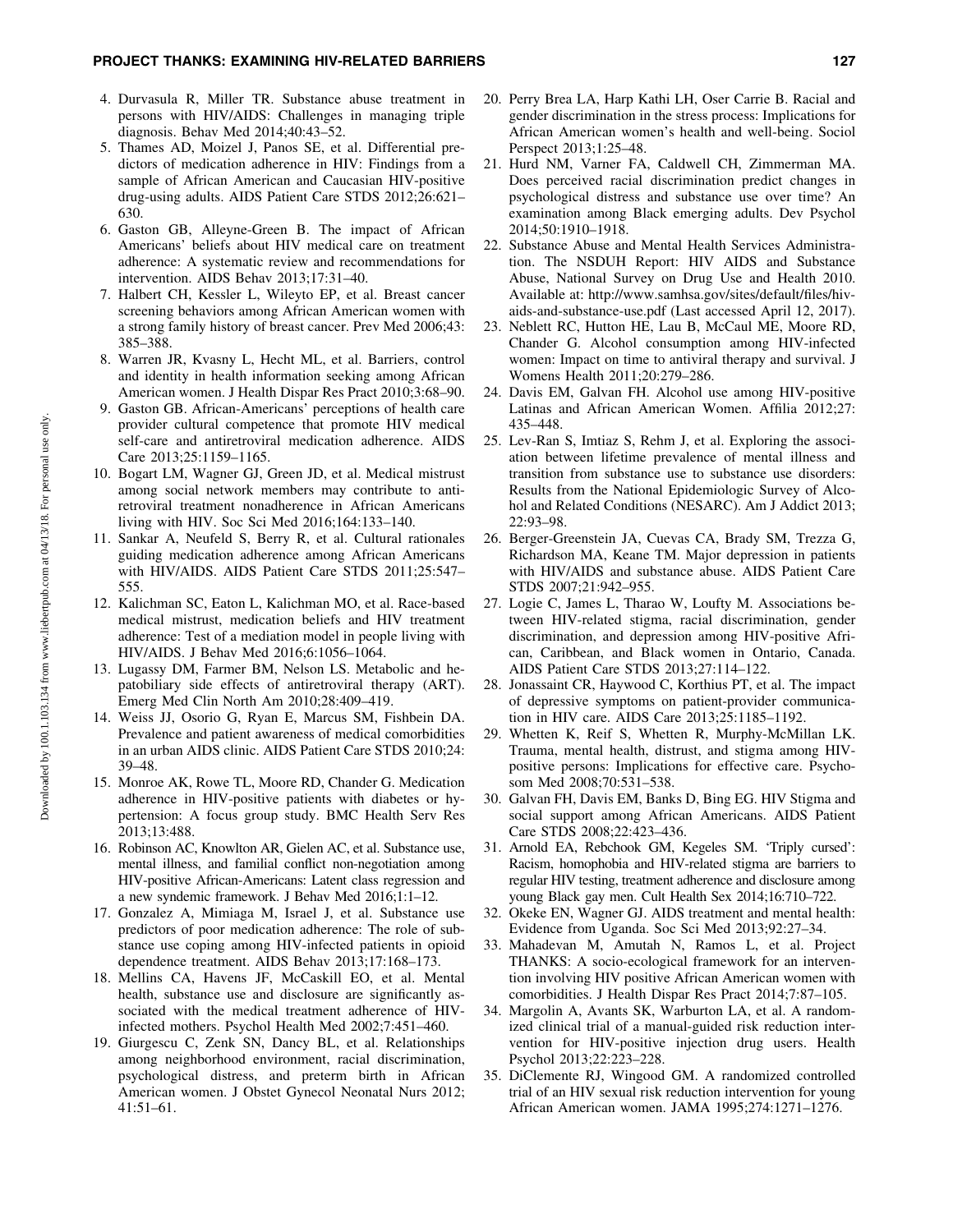- 4. Durvasula R, Miller TR. Substance abuse treatment in persons with HIV/AIDS: Challenges in managing triple diagnosis. Behav Med 2014;40:43–52.
- 5. Thames AD, Moizel J, Panos SE, et al. Differential predictors of medication adherence in HIV: Findings from a sample of African American and Caucasian HIV-positive drug-using adults. AIDS Patient Care STDS 2012;26:621– 630.
- 6. Gaston GB, Alleyne-Green B. The impact of African Americans' beliefs about HIV medical care on treatment adherence: A systematic review and recommendations for intervention. AIDS Behav 2013;17:31–40.
- 7. Halbert CH, Kessler L, Wileyto EP, et al. Breast cancer screening behaviors among African American women with a strong family history of breast cancer. Prev Med 2006;43: 385–388.
- 8. Warren JR, Kvasny L, Hecht ML, et al. Barriers, control and identity in health information seeking among African American women. J Health Dispar Res Pract 2010;3:68–90.
- 9. Gaston GB. African-Americans' perceptions of health care provider cultural competence that promote HIV medical self-care and antiretroviral medication adherence. AIDS Care 2013;25:1159–1165.
- 10. Bogart LM, Wagner GJ, Green JD, et al. Medical mistrust among social network members may contribute to antiretroviral treatment nonadherence in African Americans living with HIV. Soc Sci Med 2016;164:133–140.
- 11. Sankar A, Neufeld S, Berry R, et al. Cultural rationales guiding medication adherence among African Americans with HIV/AIDS. AIDS Patient Care STDS 2011;25:547– 555.
- 12. Kalichman SC, Eaton L, Kalichman MO, et al. Race-based medical mistrust, medication beliefs and HIV treatment adherence: Test of a mediation model in people living with HIV/AIDS. J Behav Med 2016;6:1056–1064.
- 13. Lugassy DM, Farmer BM, Nelson LS. Metabolic and hepatobiliary side effects of antiretroviral therapy (ART). Emerg Med Clin North Am 2010;28:409–419.
- 14. Weiss JJ, Osorio G, Ryan E, Marcus SM, Fishbein DA. Prevalence and patient awareness of medical comorbidities in an urban AIDS clinic. AIDS Patient Care STDS 2010;24: 39–48.
- 15. Monroe AK, Rowe TL, Moore RD, Chander G. Medication adherence in HIV-positive patients with diabetes or hypertension: A focus group study. BMC Health Serv Res 2013;13:488.
- 16. Robinson AC, Knowlton AR, Gielen AC, et al. Substance use, mental illness, and familial conflict non-negotiation among HIV-positive African-Americans: Latent class regression and a new syndemic framework. J Behav Med 2016;1:1–12.
- 17. Gonzalez A, Mimiaga M, Israel J, et al. Substance use predictors of poor medication adherence: The role of substance use coping among HIV-infected patients in opioid dependence treatment. AIDS Behav 2013;17:168–173.
- 18. Mellins CA, Havens JF, McCaskill EO, et al. Mental health, substance use and disclosure are significantly associated with the medical treatment adherence of HIVinfected mothers. Psychol Health Med 2002;7:451–460.
- 19. Giurgescu C, Zenk SN, Dancy BL, et al. Relationships among neighborhood environment, racial discrimination, psychological distress, and preterm birth in African American women. J Obstet Gynecol Neonatal Nurs 2012; 41:51–61.
- 20. Perry Brea LA, Harp Kathi LH, Oser Carrie B. Racial and gender discrimination in the stress process: Implications for African American women's health and well-being. Sociol Perspect 2013;1:25–48.
- 21. Hurd NM, Varner FA, Caldwell CH, Zimmerman MA. Does perceived racial discrimination predict changes in psychological distress and substance use over time? An examination among Black emerging adults. Dev Psychol 2014;50:1910–1918.
- 22. Substance Abuse and Mental Health Services Administration. The NSDUH Report: HIV AIDS and Substance Abuse, National Survey on Drug Use and Health 2010. Available at: http://www.samhsa.gov/sites/default/files/hivaids-and-substance-use.pdf (Last accessed April 12, 2017).
- 23. Neblett RC, Hutton HE, Lau B, McCaul ME, Moore RD, Chander G. Alcohol consumption among HIV-infected women: Impact on time to antiviral therapy and survival. J Womens Health 2011;20:279–286.
- 24. Davis EM, Galvan FH. Alcohol use among HIV-positive Latinas and African American Women. Affilia 2012;27: 435–448.
- 25. Lev-Ran S, Imtiaz S, Rehm J, et al. Exploring the association between lifetime prevalence of mental illness and transition from substance use to substance use disorders: Results from the National Epidemiologic Survey of Alcohol and Related Conditions (NESARC). Am J Addict 2013; 22:93–98.
- 26. Berger-Greenstein JA, Cuevas CA, Brady SM, Trezza G, Richardson MA, Keane TM. Major depression in patients with HIV/AIDS and substance abuse. AIDS Patient Care STDS 2007;21:942–955.
- 27. Logie C, James L, Tharao W, Loufty M. Associations between HIV-related stigma, racial discrimination, gender discrimination, and depression among HIV-positive African, Caribbean, and Black women in Ontario, Canada. AIDS Patient Care STDS 2013;27:114–122.
- 28. Jonassaint CR, Haywood C, Korthius PT, et al. The impact of depressive symptoms on patient-provider communication in HIV care. AIDS Care 2013;25:1185–1192.
- 29. Whetten K, Reif S, Whetten R, Murphy-McMillan LK. Trauma, mental health, distrust, and stigma among HIVpositive persons: Implications for effective care. Psychosom Med 2008;70:531–538.
- 30. Galvan FH, Davis EM, Banks D, Bing EG. HIV Stigma and social support among African Americans. AIDS Patient Care STDS 2008;22:423–436.
- 31. Arnold EA, Rebchook GM, Kegeles SM. 'Triply cursed': Racism, homophobia and HIV-related stigma are barriers to regular HIV testing, treatment adherence and disclosure among young Black gay men. Cult Health Sex 2014;16:710–722.
- 32. Okeke EN, Wagner GJ. AIDS treatment and mental health: Evidence from Uganda. Soc Sci Med 2013;92:27–34.
- 33. Mahadevan M, Amutah N, Ramos L, et al. Project THANKS: A socio-ecological framework for an intervention involving HIV positive African American women with comorbidities. J Health Dispar Res Pract 2014;7:87–105.
- 34. Margolin A, Avants SK, Warburton LA, et al. A randomized clinical trial of a manual-guided risk reduction intervention for HIV-positive injection drug users. Health Psychol 2013;22:223–228.
- 35. DiClemente RJ, Wingood GM. A randomized controlled trial of an HIV sexual risk reduction intervention for young African American women. JAMA 1995;274:1271–1276.